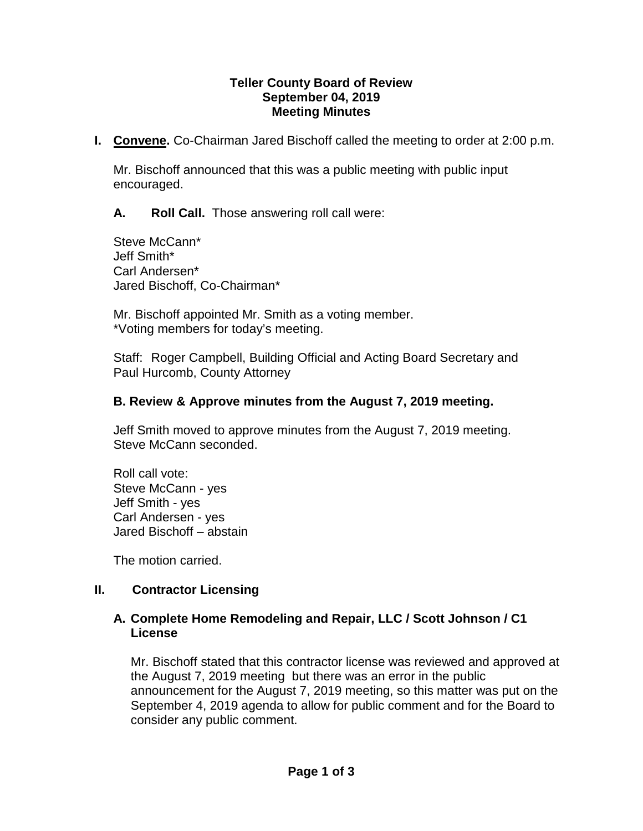#### **Teller County Board of Review September 04, 2019 Meeting Minutes**

**I. Convene.** Co-Chairman Jared Bischoff called the meeting to order at 2:00 p.m.

Mr. Bischoff announced that this was a public meeting with public input encouraged.

**A. Roll Call.** Those answering roll call were:

Steve McCann\* Jeff Smith\* Carl Andersen\* Jared Bischoff, Co-Chairman\*

Mr. Bischoff appointed Mr. Smith as a voting member. \*Voting members for today's meeting.

Staff: Roger Campbell, Building Official and Acting Board Secretary and Paul Hurcomb, County Attorney

### **B. Review & Approve minutes from the August 7, 2019 meeting.**

Jeff Smith moved to approve minutes from the August 7, 2019 meeting. Steve McCann seconded.

Roll call vote: Steve McCann - yes Jeff Smith - yes Carl Andersen - yes Jared Bischoff – abstain

The motion carried.

### **II. Contractor Licensing**

### **A. Complete Home Remodeling and Repair, LLC / Scott Johnson / C1 License**

Mr. Bischoff stated that this contractor license was reviewed and approved at the August 7, 2019 meeting but there was an error in the public announcement for the August 7, 2019 meeting, so this matter was put on the September 4, 2019 agenda to allow for public comment and for the Board to consider any public comment.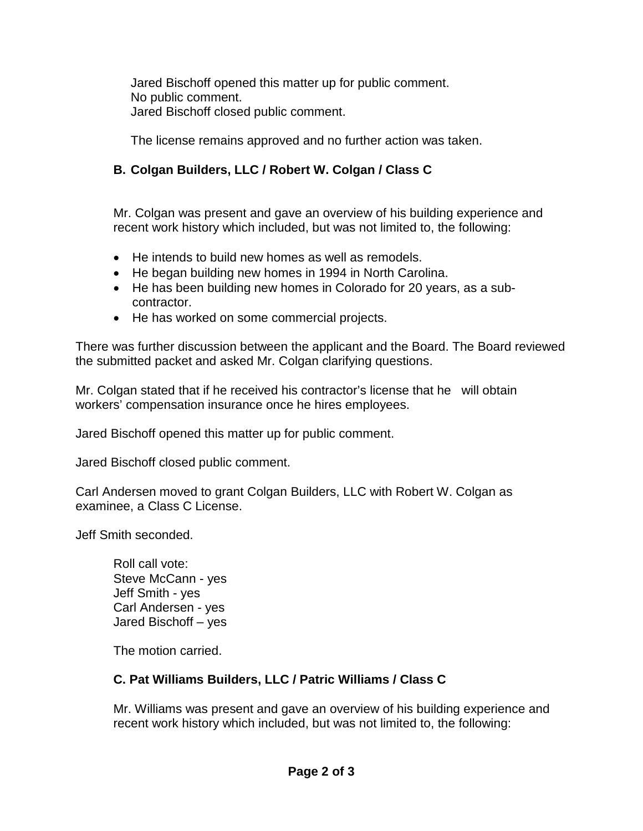Jared Bischoff opened this matter up for public comment. No public comment. Jared Bischoff closed public comment.

The license remains approved and no further action was taken.

# **B. Colgan Builders, LLC / Robert W. Colgan / Class C**

Mr. Colgan was present and gave an overview of his building experience and recent work history which included, but was not limited to, the following:

- He intends to build new homes as well as remodels.
- He began building new homes in 1994 in North Carolina.
- He has been building new homes in Colorado for 20 years, as a subcontractor.
- He has worked on some commercial projects.

There was further discussion between the applicant and the Board. The Board reviewed the submitted packet and asked Mr. Colgan clarifying questions.

Mr. Colgan stated that if he received his contractor's license that he will obtain workers' compensation insurance once he hires employees.

Jared Bischoff opened this matter up for public comment.

Jared Bischoff closed public comment.

Carl Andersen moved to grant Colgan Builders, LLC with Robert W. Colgan as examinee, a Class C License.

Jeff Smith seconded.

Roll call vote: Steve McCann - yes Jeff Smith - yes Carl Andersen - yes Jared Bischoff – yes

The motion carried.

## **C. Pat Williams Builders, LLC / Patric Williams / Class C**

Mr. Williams was present and gave an overview of his building experience and recent work history which included, but was not limited to, the following: